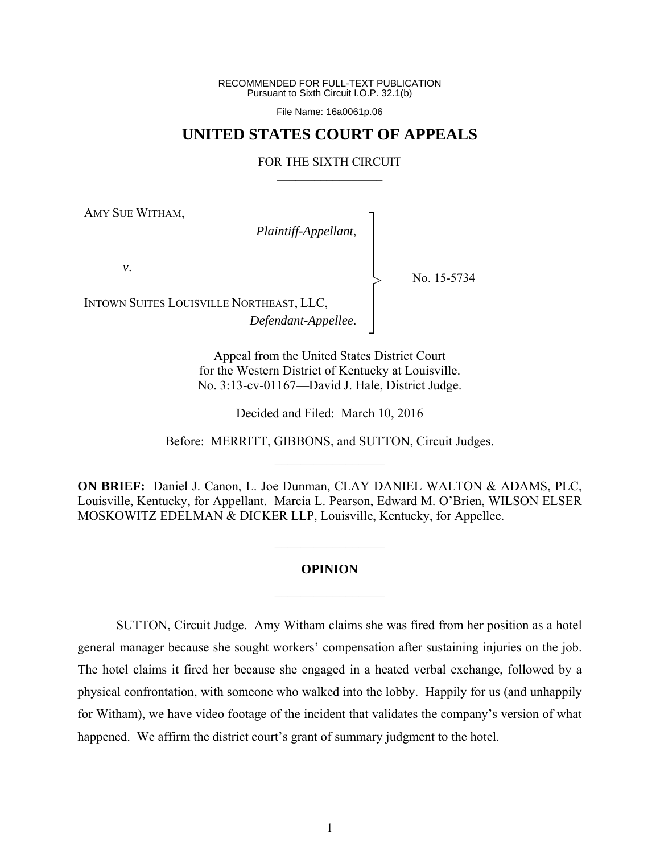RECOMMENDED FOR FULL-TEXT PUBLICATION Pursuant to Sixth Circuit I.O.P. 32.1(b)

File Name: 16a0061p.06

## **UNITED STATES COURT OF APPEALS**

## FOR THE SIXTH CIRCUIT  $\mathcal{L}_\text{max}$

┐ │ │ │ │ │ │ │ ┘

>

AMY SUE WITHAM,

*Plaintiff-Appellant*,

*v*.

No. 15-5734

INTOWN SUITES LOUISVILLE NORTHEAST, LLC, *Defendant-Appellee*.

> Appeal from the United States District Court for the Western District of Kentucky at Louisville. No. 3:13-cv-01167—David J. Hale, District Judge.

> > Decided and Filed: March 10, 2016

Before: MERRITT, GIBBONS, and SUTTON, Circuit Judges.  $\mathcal{L}_\text{max}$ 

**ON BRIEF:** Daniel J. Canon, L. Joe Dunman, CLAY DANIEL WALTON & ADAMS, PLC, Louisville, Kentucky, for Appellant. Marcia L. Pearson, Edward M. O'Brien, WILSON ELSER MOSKOWITZ EDELMAN & DICKER LLP, Louisville, Kentucky, for Appellee.

## **OPINION**

 $\frac{1}{2}$ 

 $\frac{1}{2}$ 

 SUTTON, Circuit Judge. Amy Witham claims she was fired from her position as a hotel general manager because she sought workers' compensation after sustaining injuries on the job. The hotel claims it fired her because she engaged in a heated verbal exchange, followed by a physical confrontation, with someone who walked into the lobby. Happily for us (and unhappily for Witham), we have video footage of the incident that validates the company's version of what happened. We affirm the district court's grant of summary judgment to the hotel.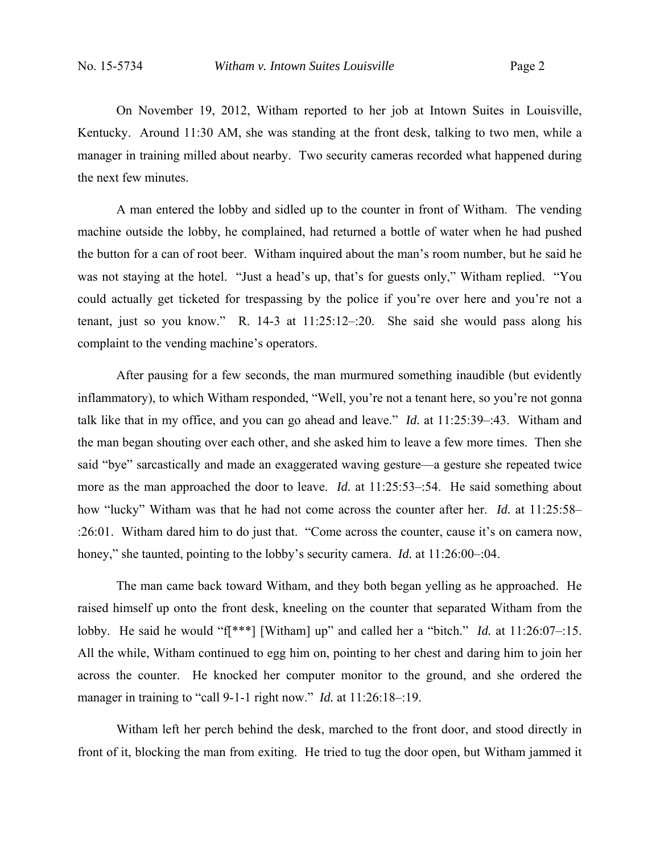On November 19, 2012, Witham reported to her job at Intown Suites in Louisville, Kentucky. Around 11:30 AM, she was standing at the front desk, talking to two men, while a manager in training milled about nearby. Two security cameras recorded what happened during the next few minutes.

 A man entered the lobby and sidled up to the counter in front of Witham. The vending machine outside the lobby, he complained, had returned a bottle of water when he had pushed the button for a can of root beer. Witham inquired about the man's room number, but he said he was not staying at the hotel. "Just a head's up, that's for guests only," Witham replied. "You could actually get ticketed for trespassing by the police if you're over here and you're not a tenant, just so you know." R. 14-3 at 11:25:12–:20. She said she would pass along his complaint to the vending machine's operators.

After pausing for a few seconds, the man murmured something inaudible (but evidently inflammatory), to which Witham responded, "Well, you're not a tenant here, so you're not gonna talk like that in my office, and you can go ahead and leave." *Id.* at 11:25:39–:43. Witham and the man began shouting over each other, and she asked him to leave a few more times. Then she said "bye" sarcastically and made an exaggerated waving gesture—a gesture she repeated twice more as the man approached the door to leave. *Id.* at 11:25:53–:54. He said something about how "lucky" Witham was that he had not come across the counter after her. *Id.* at 11:25:58– :26:01. Witham dared him to do just that. "Come across the counter, cause it's on camera now, honey," she taunted, pointing to the lobby's security camera. *Id.* at 11:26:00–:04.

 The man came back toward Witham, and they both began yelling as he approached. He raised himself up onto the front desk, kneeling on the counter that separated Witham from the lobby. He said he would "f[\*\*\*] [Witham] up" and called her a "bitch." *Id.* at 11:26:07–:15. All the while, Witham continued to egg him on, pointing to her chest and daring him to join her across the counter. He knocked her computer monitor to the ground, and she ordered the manager in training to "call 9-1-1 right now." *Id.* at 11:26:18-:19.

Witham left her perch behind the desk, marched to the front door, and stood directly in front of it, blocking the man from exiting. He tried to tug the door open, but Witham jammed it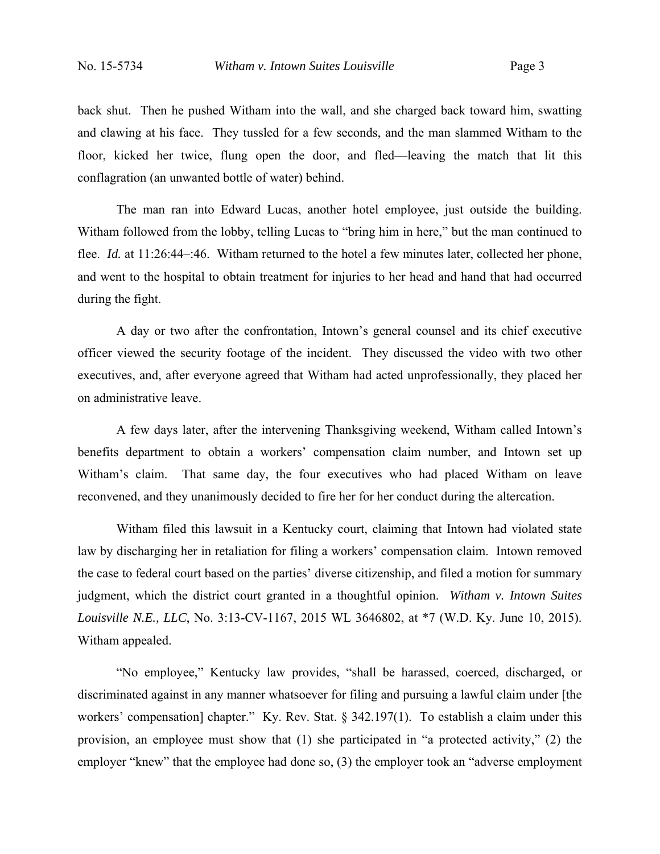back shut. Then he pushed Witham into the wall, and she charged back toward him, swatting and clawing at his face. They tussled for a few seconds, and the man slammed Witham to the floor, kicked her twice, flung open the door, and fled—leaving the match that lit this conflagration (an unwanted bottle of water) behind.

The man ran into Edward Lucas, another hotel employee, just outside the building. Witham followed from the lobby, telling Lucas to "bring him in here," but the man continued to flee. *Id.* at 11:26:44–:46. Witham returned to the hotel a few minutes later, collected her phone, and went to the hospital to obtain treatment for injuries to her head and hand that had occurred during the fight.

A day or two after the confrontation, Intown's general counsel and its chief executive officer viewed the security footage of the incident. They discussed the video with two other executives, and, after everyone agreed that Witham had acted unprofessionally, they placed her on administrative leave.

A few days later, after the intervening Thanksgiving weekend, Witham called Intown's benefits department to obtain a workers' compensation claim number, and Intown set up Witham's claim. That same day, the four executives who had placed Witham on leave reconvened, and they unanimously decided to fire her for her conduct during the altercation.

Witham filed this lawsuit in a Kentucky court, claiming that Intown had violated state law by discharging her in retaliation for filing a workers' compensation claim. Intown removed the case to federal court based on the parties' diverse citizenship, and filed a motion for summary judgment, which the district court granted in a thoughtful opinion. *Witham v. Intown Suites Louisville N.E., LLC*, No. 3:13-CV-1167, 2015 WL 3646802, at \*7 (W.D. Ky. June 10, 2015). Witham appealed.

"No employee," Kentucky law provides, "shall be harassed, coerced, discharged, or discriminated against in any manner whatsoever for filing and pursuing a lawful claim under [the workers' compensation] chapter." Ky. Rev. Stat. § 342.197(1). To establish a claim under this provision, an employee must show that (1) she participated in "a protected activity," (2) the employer "knew" that the employee had done so, (3) the employer took an "adverse employment"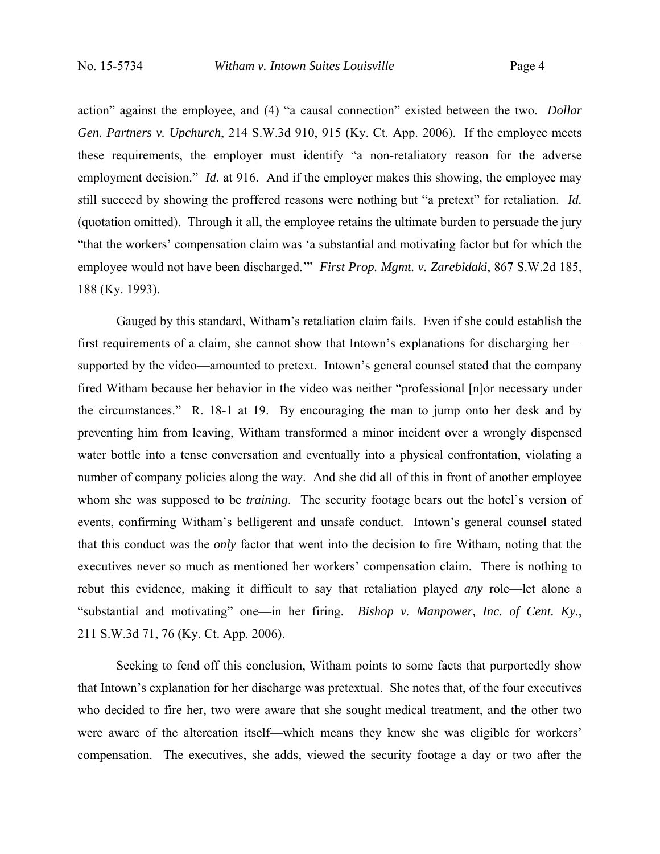action" against the employee, and (4) "a causal connection" existed between the two. *Dollar Gen. Partners v. Upchurch*, 214 S.W.3d 910, 915 (Ky. Ct. App. 2006). If the employee meets these requirements, the employer must identify "a non-retaliatory reason for the adverse employment decision." *Id.* at 916. And if the employer makes this showing, the employee may still succeed by showing the proffered reasons were nothing but "a pretext" for retaliation. *Id.* (quotation omitted). Through it all, the employee retains the ultimate burden to persuade the jury "that the workers' compensation claim was 'a substantial and motivating factor but for which the employee would not have been discharged.'" *First Prop. Mgmt. v. Zarebidaki*, 867 S.W.2d 185, 188 (Ky. 1993).

 Gauged by this standard, Witham's retaliation claim fails. Even if she could establish the first requirements of a claim, she cannot show that Intown's explanations for discharging her supported by the video—amounted to pretext. Intown's general counsel stated that the company fired Witham because her behavior in the video was neither "professional [n]or necessary under the circumstances." R. 18-1 at 19. By encouraging the man to jump onto her desk and by preventing him from leaving, Witham transformed a minor incident over a wrongly dispensed water bottle into a tense conversation and eventually into a physical confrontation, violating a number of company policies along the way. And she did all of this in front of another employee whom she was supposed to be *training*. The security footage bears out the hotel's version of events, confirming Witham's belligerent and unsafe conduct. Intown's general counsel stated that this conduct was the *only* factor that went into the decision to fire Witham, noting that the executives never so much as mentioned her workers' compensation claim. There is nothing to rebut this evidence, making it difficult to say that retaliation played *any* role—let alone a "substantial and motivating" one—in her firing. *Bishop v. Manpower, Inc. of Cent. Ky.*, 211 S.W.3d 71, 76 (Ky. Ct. App. 2006).

 Seeking to fend off this conclusion, Witham points to some facts that purportedly show that Intown's explanation for her discharge was pretextual. She notes that, of the four executives who decided to fire her, two were aware that she sought medical treatment, and the other two were aware of the altercation itself—which means they knew she was eligible for workers' compensation. The executives, she adds, viewed the security footage a day or two after the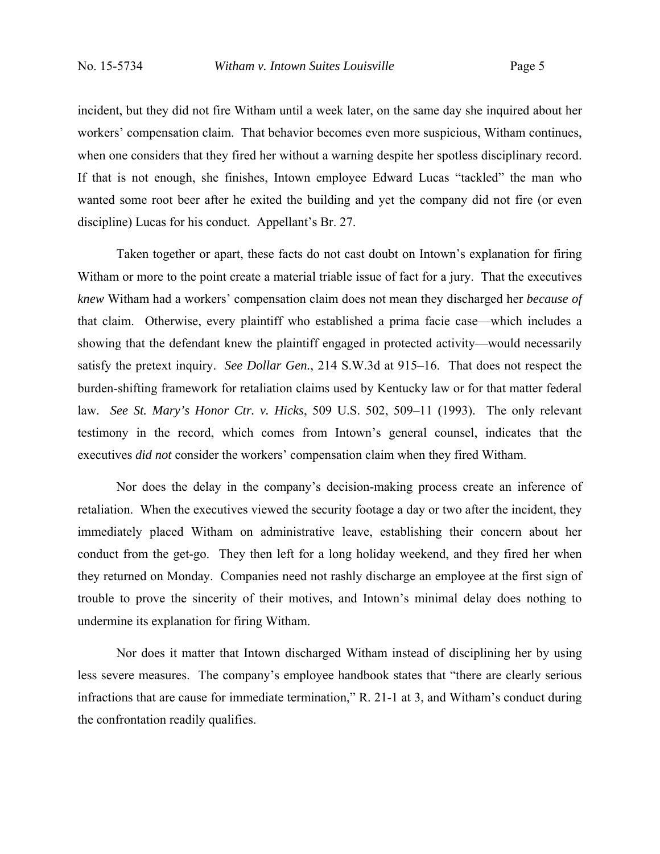incident, but they did not fire Witham until a week later, on the same day she inquired about her workers' compensation claim. That behavior becomes even more suspicious, Witham continues, when one considers that they fired her without a warning despite her spotless disciplinary record. If that is not enough, she finishes, Intown employee Edward Lucas "tackled" the man who wanted some root beer after he exited the building and yet the company did not fire (or even discipline) Lucas for his conduct. Appellant's Br. 27.

 Taken together or apart, these facts do not cast doubt on Intown's explanation for firing Witham or more to the point create a material triable issue of fact for a jury. That the executives *knew* Witham had a workers' compensation claim does not mean they discharged her *because of* that claim. Otherwise, every plaintiff who established a prima facie case—which includes a showing that the defendant knew the plaintiff engaged in protected activity—would necessarily satisfy the pretext inquiry. *See Dollar Gen.*, 214 S.W.3d at 915–16. That does not respect the burden-shifting framework for retaliation claims used by Kentucky law or for that matter federal law. *See St. Mary's Honor Ctr. v. Hicks*, 509 U.S. 502, 509–11 (1993). The only relevant testimony in the record, which comes from Intown's general counsel, indicates that the executives *did not* consider the workers' compensation claim when they fired Witham.

Nor does the delay in the company's decision-making process create an inference of retaliation. When the executives viewed the security footage a day or two after the incident, they immediately placed Witham on administrative leave, establishing their concern about her conduct from the get-go. They then left for a long holiday weekend, and they fired her when they returned on Monday. Companies need not rashly discharge an employee at the first sign of trouble to prove the sincerity of their motives, and Intown's minimal delay does nothing to undermine its explanation for firing Witham.

 Nor does it matter that Intown discharged Witham instead of disciplining her by using less severe measures. The company's employee handbook states that "there are clearly serious infractions that are cause for immediate termination," R. 21-1 at 3, and Witham's conduct during the confrontation readily qualifies.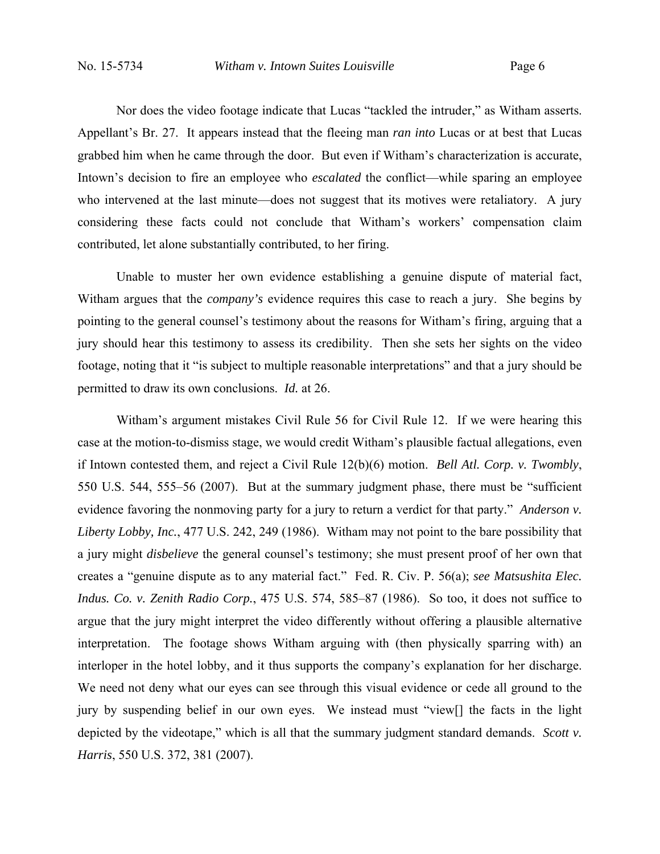Nor does the video footage indicate that Lucas "tackled the intruder," as Witham asserts. Appellant's Br. 27. It appears instead that the fleeing man *ran into* Lucas or at best that Lucas grabbed him when he came through the door. But even if Witham's characterization is accurate, Intown's decision to fire an employee who *escalated* the conflict—while sparing an employee who intervened at the last minute—does not suggest that its motives were retaliatory. A jury considering these facts could not conclude that Witham's workers' compensation claim contributed, let alone substantially contributed, to her firing.

Unable to muster her own evidence establishing a genuine dispute of material fact, Witham argues that the *company's* evidence requires this case to reach a jury. She begins by pointing to the general counsel's testimony about the reasons for Witham's firing, arguing that a jury should hear this testimony to assess its credibility. Then she sets her sights on the video footage, noting that it "is subject to multiple reasonable interpretations" and that a jury should be permitted to draw its own conclusions. *Id.* at 26.

Witham's argument mistakes Civil Rule 56 for Civil Rule 12. If we were hearing this case at the motion-to-dismiss stage, we would credit Witham's plausible factual allegations, even if Intown contested them, and reject a Civil Rule 12(b)(6) motion. *Bell Atl. Corp. v. Twombly*, 550 U.S. 544, 555–56 (2007). But at the summary judgment phase, there must be "sufficient evidence favoring the nonmoving party for a jury to return a verdict for that party." *Anderson v. Liberty Lobby, Inc.*, 477 U.S. 242, 249 (1986). Witham may not point to the bare possibility that a jury might *disbelieve* the general counsel's testimony; she must present proof of her own that creates a "genuine dispute as to any material fact." Fed. R. Civ. P. 56(a); *see Matsushita Elec. Indus. Co. v. Zenith Radio Corp.*, 475 U.S. 574, 585–87 (1986). So too, it does not suffice to argue that the jury might interpret the video differently without offering a plausible alternative interpretation. The footage shows Witham arguing with (then physically sparring with) an interloper in the hotel lobby, and it thus supports the company's explanation for her discharge. We need not deny what our eyes can see through this visual evidence or cede all ground to the jury by suspending belief in our own eyes. We instead must "view[] the facts in the light depicted by the videotape," which is all that the summary judgment standard demands. *Scott v. Harris*, 550 U.S. 372, 381 (2007).